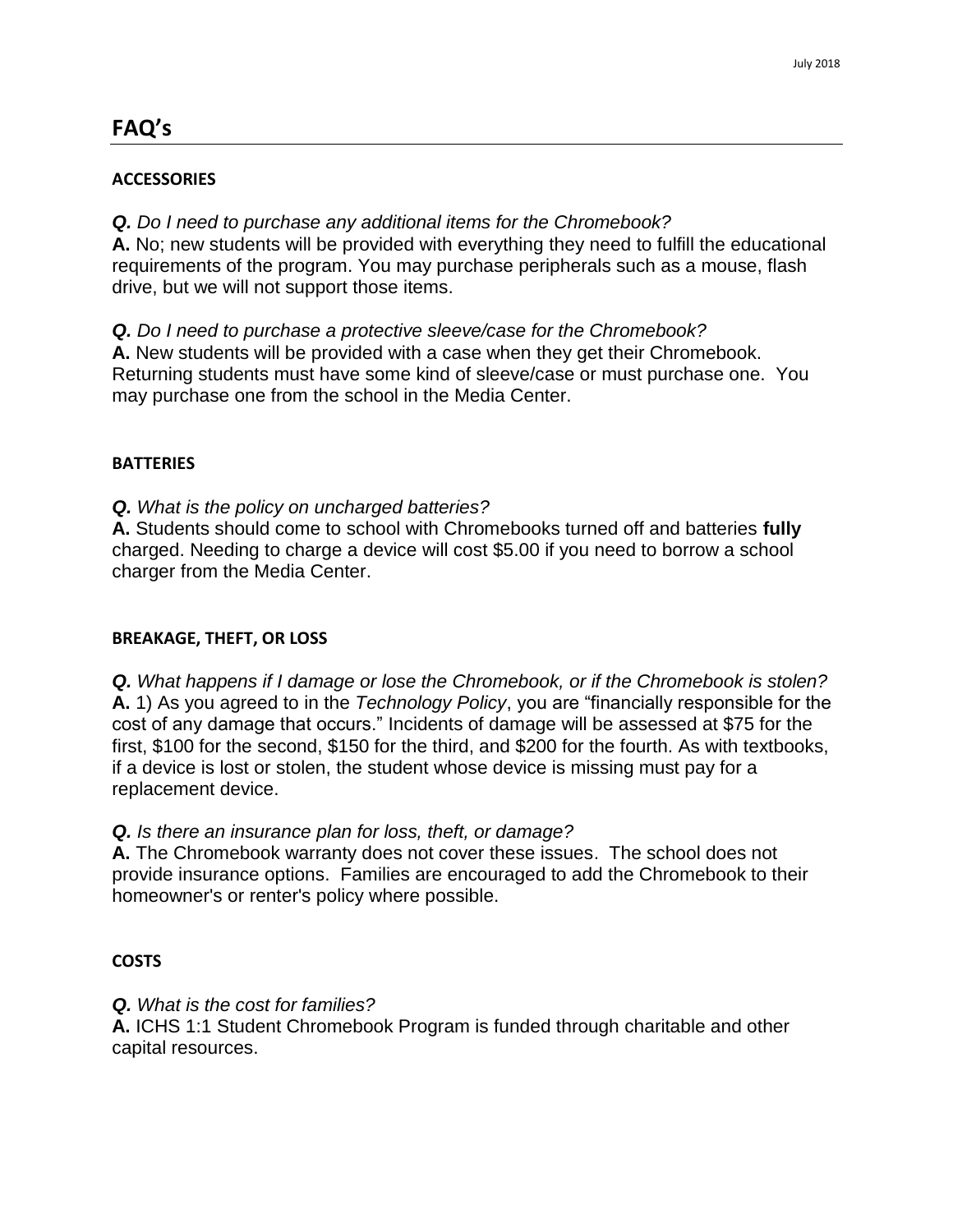# **FAQ's**

#### **ACCESSORIES**

*Q. Do I need to purchase any additional items for the Chromebook?* 

**A.** No; new students will be provided with everything they need to fulfill the educational requirements of the program. You may purchase peripherals such as a mouse, flash drive, but we will not support those items.

*Q. Do I need to purchase a protective sleeve/case for the Chromebook?*  **A.** New students will be provided with a case when they get their Chromebook. Returning students must have some kind of sleeve/case or must purchase one. You may purchase one from the school in the Media Center.

#### **BATTERIES**

*Q. What is the policy on uncharged batteries?* 

**A.** Students should come to school with Chromebooks turned off and batteries **fully**  charged. Needing to charge a device will cost \$5.00 if you need to borrow a school charger from the Media Center.

#### **BREAKAGE, THEFT, OR LOSS**

*Q. What happens if I damage or lose the Chromebook, or if the Chromebook is stolen?*  **A.** 1) As you agreed to in the *Technology Policy*, you are "financially responsible for the cost of any damage that occurs." Incidents of damage will be assessed at \$75 for the first, \$100 for the second, \$150 for the third, and \$200 for the fourth. As with textbooks, if a device is lost or stolen, the student whose device is missing must pay for a replacement device.

## *Q. Is there an insurance plan for loss, theft, or damage?*

**A.** The Chromebook warranty does not cover these issues. The school does not provide insurance options. Families are encouraged to add the Chromebook to their homeowner's or renter's policy where possible.

## **COSTS**

*Q. What is the cost for families?* 

**A.** ICHS 1:1 Student Chromebook Program is funded through charitable and other capital resources.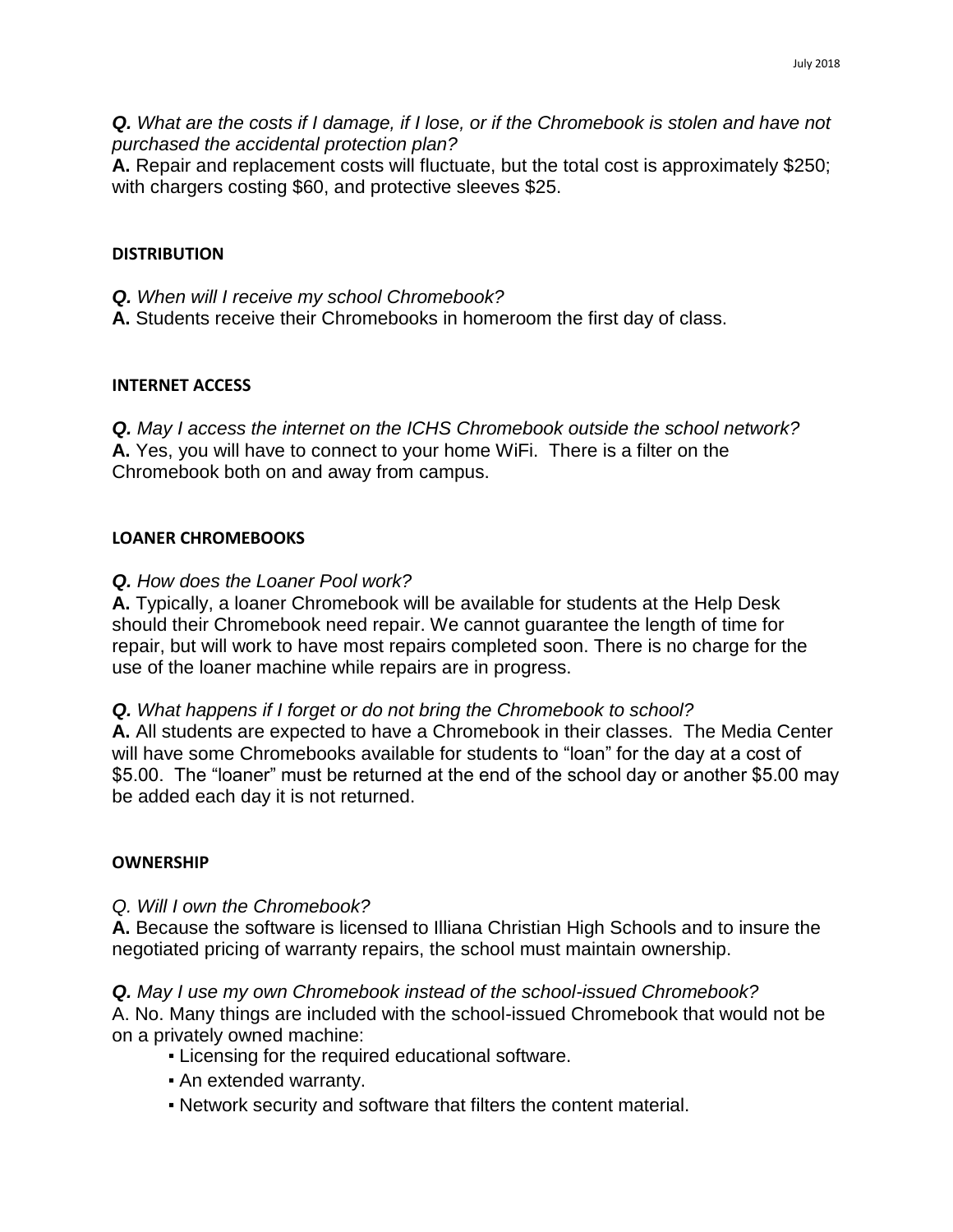*Q. What are the costs if I damage, if I lose, or if the Chromebook is stolen and have not purchased the accidental protection plan?* 

**A.** Repair and replacement costs will fluctuate, but the total cost is approximately \$250; with chargers costing \$60, and protective sleeves \$25.

#### **DISTRIBUTION**

*Q. When will I receive my school Chromebook?* 

**A.** Students receive their Chromebooks in homeroom the first day of class.

#### **INTERNET ACCESS**

*Q. May I access the internet on the ICHS Chromebook outside the school network?*  **A.** Yes, you will have to connect to your home WiFi. There is a filter on the Chromebook both on and away from campus.

## **LOANER CHROMEBOOKS**

## *Q. How does the Loaner Pool work?*

**A.** Typically, a loaner Chromebook will be available for students at the Help Desk should their Chromebook need repair. We cannot guarantee the length of time for repair, but will work to have most repairs completed soon. There is no charge for the use of the loaner machine while repairs are in progress.

## *Q. What happens if I forget or do not bring the Chromebook to school?*

**A.** All students are expected to have a Chromebook in their classes. The Media Center will have some Chromebooks available for students to "loan" for the day at a cost of \$5.00. The "loaner" must be returned at the end of the school day or another \$5.00 may be added each day it is not returned.

## **OWNERSHIP**

## *Q. Will I own the Chromebook?*

**A.** Because the software is licensed to Illiana Christian High Schools and to insure the negotiated pricing of warranty repairs, the school must maintain ownership.

*Q. May I use my own Chromebook instead of the school-issued Chromebook?*  A. No. Many things are included with the school-issued Chromebook that would not be on a privately owned machine:

- Licensing for the required educational software.
- An extended warranty.
- Network security and software that filters the content material.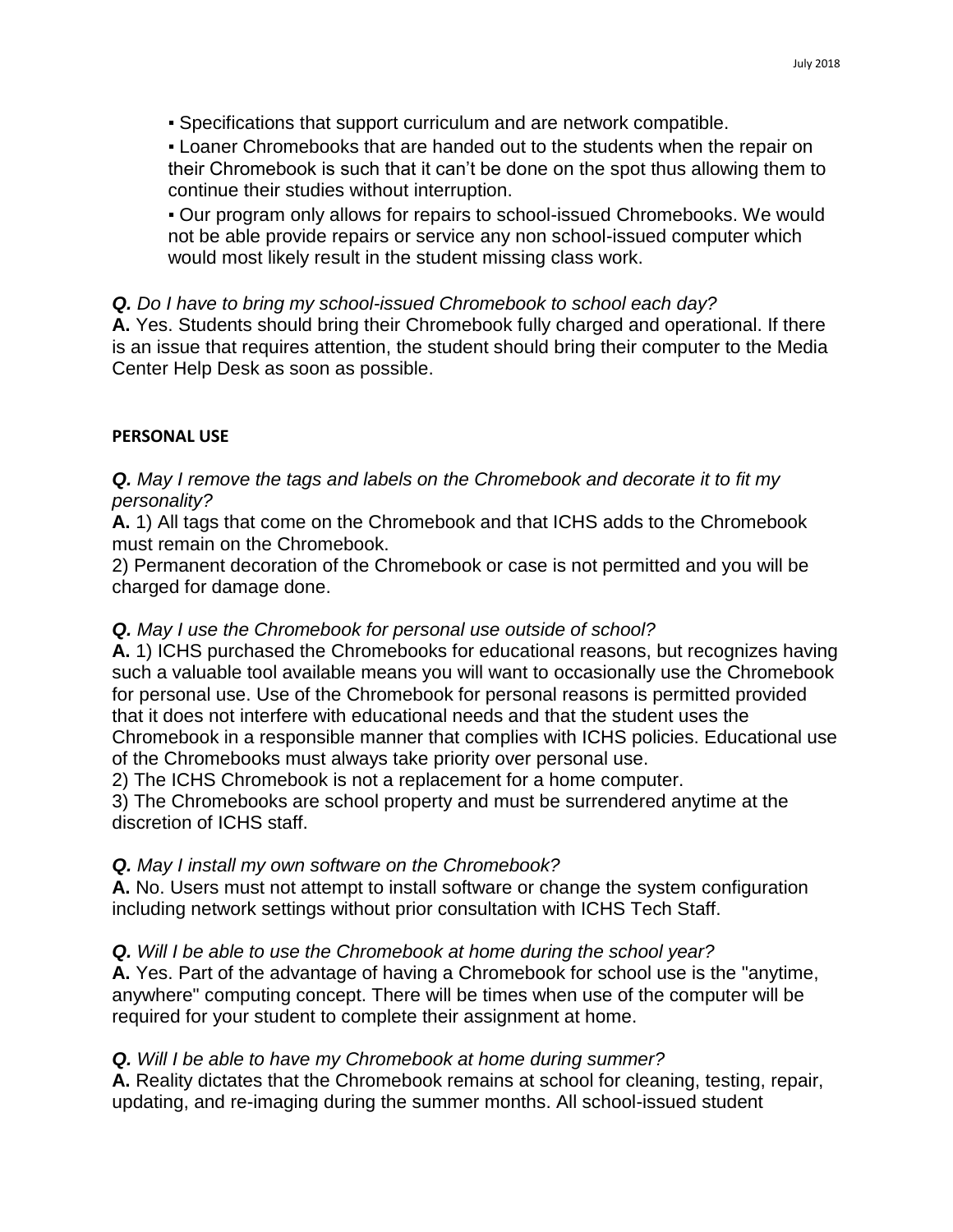▪ Specifications that support curriculum and are network compatible.

▪ Loaner Chromebooks that are handed out to the students when the repair on their Chromebook is such that it can't be done on the spot thus allowing them to continue their studies without interruption.

▪ Our program only allows for repairs to school-issued Chromebooks. We would not be able provide repairs or service any non school-issued computer which would most likely result in the student missing class work.

#### *Q. Do I have to bring my school-issued Chromebook to school each day?*

**A.** Yes. Students should bring their Chromebook fully charged and operational. If there is an issue that requires attention, the student should bring their computer to the Media Center Help Desk as soon as possible.

#### **PERSONAL USE**

*Q. May I remove the tags and labels on the Chromebook and decorate it to fit my personality?* 

**A.** 1) All tags that come on the Chromebook and that ICHS adds to the Chromebook must remain on the Chromebook.

2) Permanent decoration of the Chromebook or case is not permitted and you will be charged for damage done.

## *Q. May I use the Chromebook for personal use outside of school?*

**A.** 1) ICHS purchased the Chromebooks for educational reasons, but recognizes having such a valuable tool available means you will want to occasionally use the Chromebook for personal use. Use of the Chromebook for personal reasons is permitted provided that it does not interfere with educational needs and that the student uses the Chromebook in a responsible manner that complies with ICHS policies. Educational use of the Chromebooks must always take priority over personal use.

2) The ICHS Chromebook is not a replacement for a home computer.

3) The Chromebooks are school property and must be surrendered anytime at the discretion of ICHS staff.

## *Q. May I install my own software on the Chromebook?*

**A.** No. Users must not attempt to install software or change the system configuration including network settings without prior consultation with ICHS Tech Staff.

## *Q. Will I be able to use the Chromebook at home during the school year?*

**A.** Yes. Part of the advantage of having a Chromebook for school use is the "anytime, anywhere" computing concept. There will be times when use of the computer will be required for your student to complete their assignment at home.

## *Q. Will I be able to have my Chromebook at home during summer?*

**A.** Reality dictates that the Chromebook remains at school for cleaning, testing, repair, updating, and re-imaging during the summer months. All school-issued student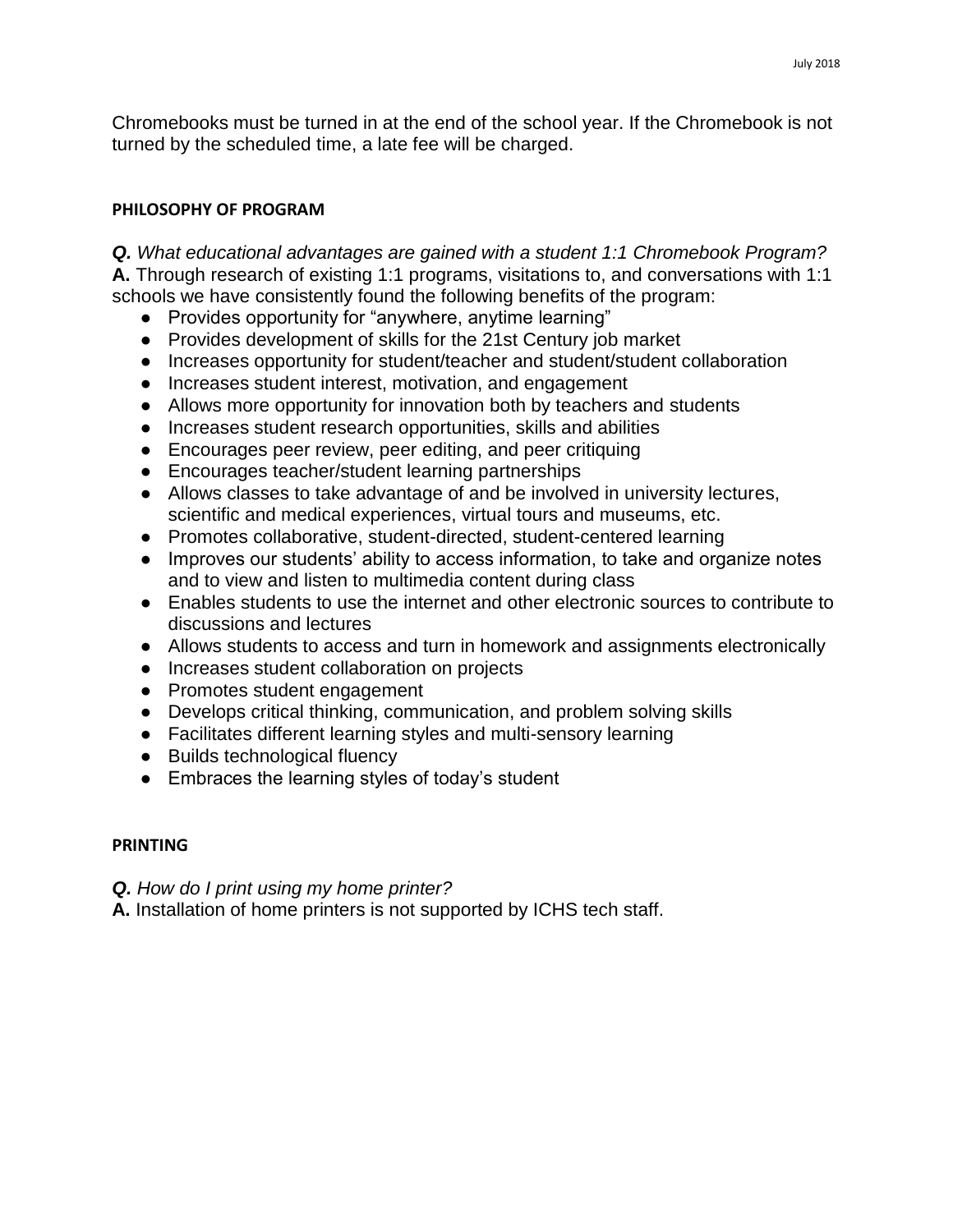Chromebooks must be turned in at the end of the school year. If the Chromebook is not turned by the scheduled time, a late fee will be charged.

#### **PHILOSOPHY OF PROGRAM**

*Q. What educational advantages are gained with a student 1:1 Chromebook Program?*  **A.** Through research of existing 1:1 programs, visitations to, and conversations with 1:1 schools we have consistently found the following benefits of the program:

- Provides opportunity for "anywhere, anytime learning"
- Provides development of skills for the 21st Century job market
- Increases opportunity for student/teacher and student/student collaboration
- Increases student interest, motivation, and engagement
- Allows more opportunity for innovation both by teachers and students
- Increases student research opportunities, skills and abilities
- Encourages peer review, peer editing, and peer critiquing
- Encourages teacher/student learning partnerships
- Allows classes to take advantage of and be involved in university lectures, scientific and medical experiences, virtual tours and museums, etc.
- Promotes collaborative, student-directed, student-centered learning
- Improves our students' ability to access information, to take and organize notes and to view and listen to multimedia content during class
- Enables students to use the internet and other electronic sources to contribute to discussions and lectures
- Allows students to access and turn in homework and assignments electronically
- Increases student collaboration on projects
- Promotes student engagement
- Develops critical thinking, communication, and problem solving skills
- Facilitates different learning styles and multi-sensory learning
- Builds technological fluency
- Embraces the learning styles of today's student

#### **PRINTING**

## *Q. How do I print using my home printer?*

**A.** Installation of home printers is not supported by ICHS tech staff.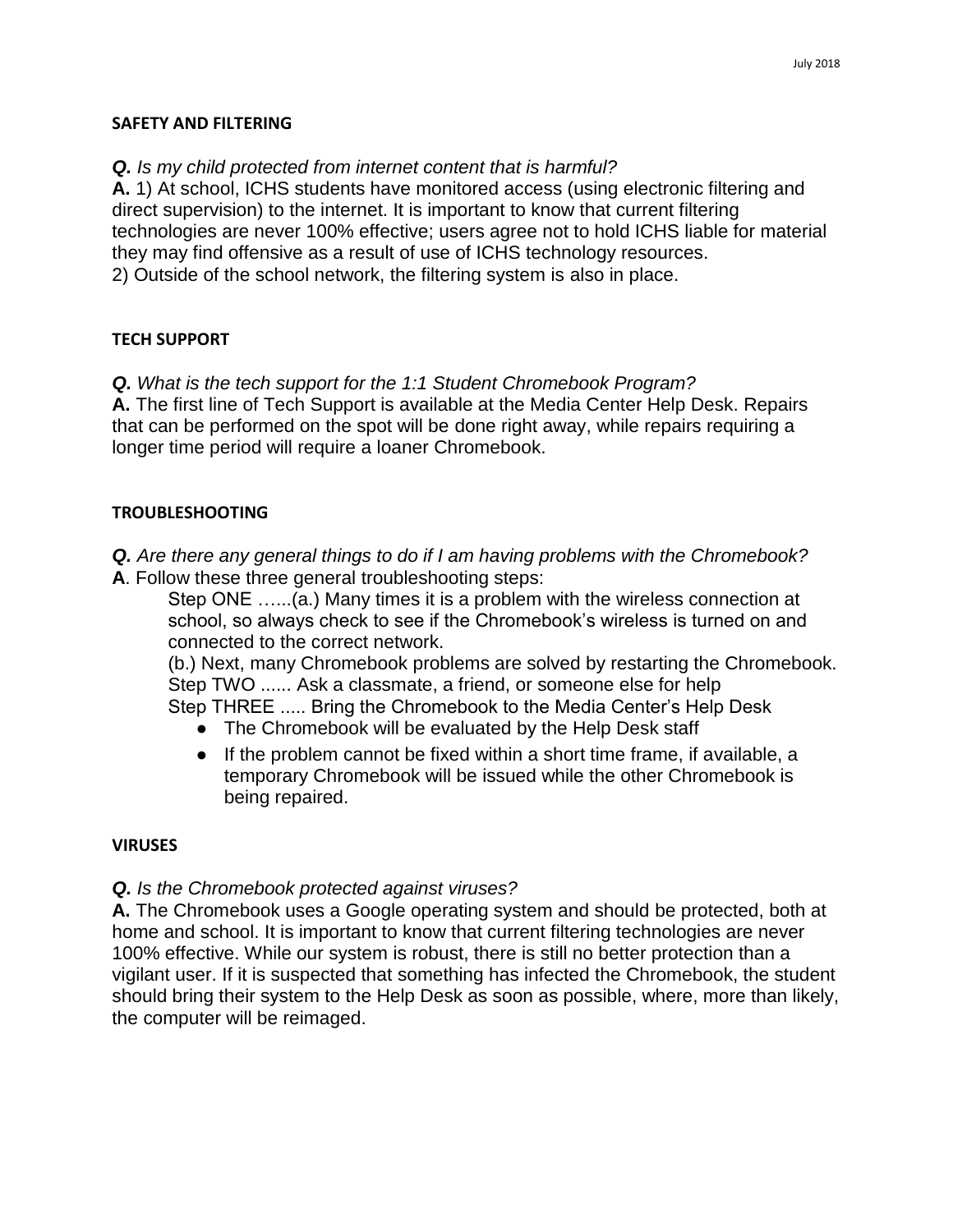#### **SAFETY AND FILTERING**

## *Q. Is my child protected from internet content that is harmful?*

**A.** 1) At school, ICHS students have monitored access (using electronic filtering and direct supervision) to the internet. It is important to know that current filtering technologies are never 100% effective; users agree not to hold ICHS liable for material they may find offensive as a result of use of ICHS technology resources. 2) Outside of the school network, the filtering system is also in place.

#### **TECH SUPPORT**

*Q. What is the tech support for the 1:1 Student Chromebook Program?* 

**A.** The first line of Tech Support is available at the Media Center Help Desk. Repairs that can be performed on the spot will be done right away, while repairs requiring a longer time period will require a loaner Chromebook.

#### **TROUBLESHOOTING**

*Q. Are there any general things to do if I am having problems with the Chromebook?*  **A**. Follow these three general troubleshooting steps:

Step ONE …...(a.) Many times it is a problem with the wireless connection at school, so always check to see if the Chromebook's wireless is turned on and connected to the correct network.

(b.) Next, many Chromebook problems are solved by restarting the Chromebook. Step TWO ...... Ask a classmate, a friend, or someone else for help Step THREE ..... Bring the Chromebook to the Media Center's Help Desk

- The Chromebook will be evaluated by the Help Desk staff
- If the problem cannot be fixed within a short time frame, if available, a temporary Chromebook will be issued while the other Chromebook is being repaired.

## **VIRUSES**

## *Q. Is the Chromebook protected against viruses?*

**A.** The Chromebook uses a Google operating system and should be protected, both at home and school. It is important to know that current filtering technologies are never 100% effective. While our system is robust, there is still no better protection than a vigilant user. If it is suspected that something has infected the Chromebook, the student should bring their system to the Help Desk as soon as possible, where, more than likely, the computer will be reimaged.